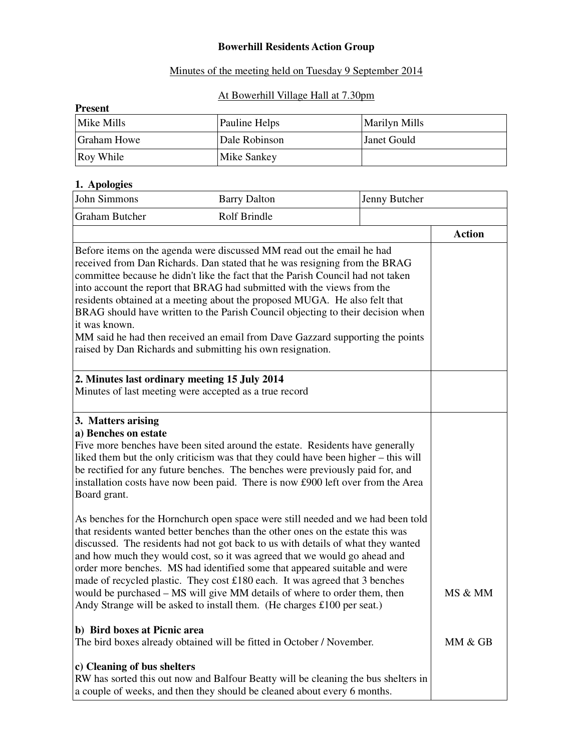#### **Bowerhill Residents Action Group**

### Minutes of the meeting held on Tuesday 9 September 2014

### At Bowerhill Village Hall at 7.30pm

| <b>Present</b> |               |                      |  |  |
|----------------|---------------|----------------------|--|--|
| Mike Mills     | Pauline Helps | <b>Marilyn Mills</b> |  |  |
| Graham Howe    | Dale Robinson | <b>Janet Gould</b>   |  |  |
| Roy While      | Mike Sankey   |                      |  |  |

## **1. Apologies**

| John Simmons                                                                                                                                                                                                                                                                                                                                                                                                                                                                                                                                                                                                                                        | <b>Barry Dalton</b>                                                                                                                                                                                                                                                                                                                                                                                                                                                                                                                                                                                                                                      | Jenny Butcher |               |
|-----------------------------------------------------------------------------------------------------------------------------------------------------------------------------------------------------------------------------------------------------------------------------------------------------------------------------------------------------------------------------------------------------------------------------------------------------------------------------------------------------------------------------------------------------------------------------------------------------------------------------------------------------|----------------------------------------------------------------------------------------------------------------------------------------------------------------------------------------------------------------------------------------------------------------------------------------------------------------------------------------------------------------------------------------------------------------------------------------------------------------------------------------------------------------------------------------------------------------------------------------------------------------------------------------------------------|---------------|---------------|
| <b>Graham Butcher</b>                                                                                                                                                                                                                                                                                                                                                                                                                                                                                                                                                                                                                               | Rolf Brindle                                                                                                                                                                                                                                                                                                                                                                                                                                                                                                                                                                                                                                             |               |               |
|                                                                                                                                                                                                                                                                                                                                                                                                                                                                                                                                                                                                                                                     |                                                                                                                                                                                                                                                                                                                                                                                                                                                                                                                                                                                                                                                          |               | <b>Action</b> |
| Before items on the agenda were discussed MM read out the email he had<br>received from Dan Richards. Dan stated that he was resigning from the BRAG<br>committee because he didn't like the fact that the Parish Council had not taken<br>into account the report that BRAG had submitted with the views from the<br>residents obtained at a meeting about the proposed MUGA. He also felt that<br>BRAG should have written to the Parish Council objecting to their decision when<br>it was known.<br>MM said he had then received an email from Dave Gazzard supporting the points<br>raised by Dan Richards and submitting his own resignation. |                                                                                                                                                                                                                                                                                                                                                                                                                                                                                                                                                                                                                                                          |               |               |
| 2. Minutes last ordinary meeting 15 July 2014                                                                                                                                                                                                                                                                                                                                                                                                                                                                                                                                                                                                       | Minutes of last meeting were accepted as a true record                                                                                                                                                                                                                                                                                                                                                                                                                                                                                                                                                                                                   |               |               |
| 3. Matters arising<br>a) Benches on estate<br>Board grant.                                                                                                                                                                                                                                                                                                                                                                                                                                                                                                                                                                                          | Five more benches have been sited around the estate. Residents have generally<br>liked them but the only criticism was that they could have been higher – this will<br>be rectified for any future benches. The benches were previously paid for, and<br>installation costs have now been paid. There is now £900 left over from the Area                                                                                                                                                                                                                                                                                                                |               |               |
|                                                                                                                                                                                                                                                                                                                                                                                                                                                                                                                                                                                                                                                     | As benches for the Hornchurch open space were still needed and we had been told<br>that residents wanted better benches than the other ones on the estate this was<br>discussed. The residents had not got back to us with details of what they wanted<br>and how much they would cost, so it was agreed that we would go ahead and<br>order more benches. MS had identified some that appeared suitable and were<br>made of recycled plastic. They cost £180 each. It was agreed that 3 benches<br>would be purchased - MS will give MM details of where to order them, then<br>Andy Strange will be asked to install them. (He charges £100 per seat.) |               | MS & MM       |
| b) Bird boxes at Picnic area                                                                                                                                                                                                                                                                                                                                                                                                                                                                                                                                                                                                                        | The bird boxes already obtained will be fitted in October / November.                                                                                                                                                                                                                                                                                                                                                                                                                                                                                                                                                                                    |               | MM & GB       |
| c) Cleaning of bus shelters                                                                                                                                                                                                                                                                                                                                                                                                                                                                                                                                                                                                                         | RW has sorted this out now and Balfour Beatty will be cleaning the bus shelters in<br>a couple of weeks, and then they should be cleaned about every 6 months.                                                                                                                                                                                                                                                                                                                                                                                                                                                                                           |               |               |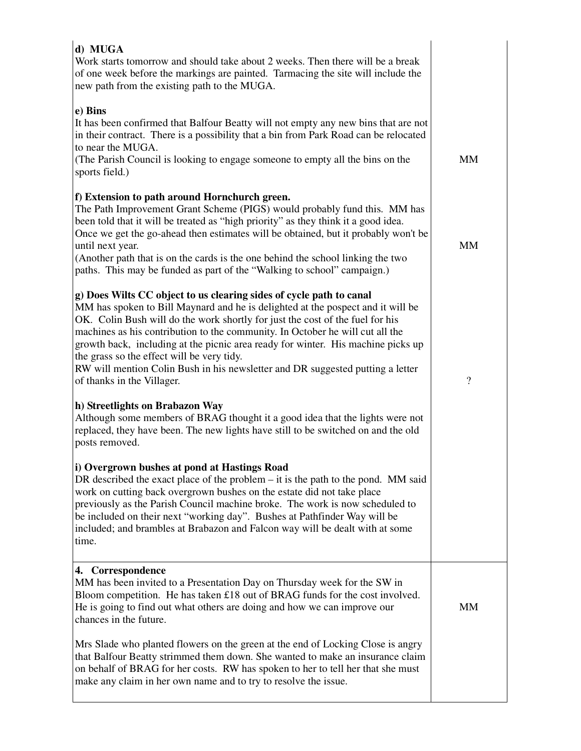| d) MUGA<br>Work starts tomorrow and should take about 2 weeks. Then there will be a break<br>of one week before the markings are painted. Tarmacing the site will include the<br>new path from the existing path to the MUGA.                                                                                                                                                                                                                                                                                                                                              |                          |
|----------------------------------------------------------------------------------------------------------------------------------------------------------------------------------------------------------------------------------------------------------------------------------------------------------------------------------------------------------------------------------------------------------------------------------------------------------------------------------------------------------------------------------------------------------------------------|--------------------------|
| e) Bins<br>It has been confirmed that Balfour Beatty will not empty any new bins that are not<br>in their contract. There is a possibility that a bin from Park Road can be relocated<br>to near the MUGA.<br>(The Parish Council is looking to engage someone to empty all the bins on the<br>sports field.)                                                                                                                                                                                                                                                              | <b>MM</b>                |
| f) Extension to path around Hornchurch green.<br>The Path Improvement Grant Scheme (PIGS) would probably fund this. MM has<br>been told that it will be treated as "high priority" as they think it a good idea.<br>Once we get the go-ahead then estimates will be obtained, but it probably won't be<br>until next year.<br>(Another path that is on the cards is the one behind the school linking the two<br>paths. This may be funded as part of the "Walking to school" campaign.)                                                                                   | MM                       |
| g) Does Wilts CC object to us clearing sides of cycle path to canal<br>MM has spoken to Bill Maynard and he is delighted at the pospect and it will be<br>OK. Colin Bush will do the work shortly for just the cost of the fuel for his<br>machines as his contribution to the community. In October he will cut all the<br>growth back, including at the picnic area ready for winter. His machine picks up<br>the grass so the effect will be very tidy.<br>RW will mention Colin Bush in his newsletter and DR suggested putting a letter<br>of thanks in the Villager. | $\overline{\mathcal{L}}$ |
| h) Streetlights on Brabazon Way<br>Although some members of BRAG thought it a good idea that the lights were not<br>replaced, they have been. The new lights have still to be switched on and the old<br>posts removed.                                                                                                                                                                                                                                                                                                                                                    |                          |
| i) Overgrown bushes at pond at Hastings Road<br>DR described the exact place of the problem $-$ it is the path to the pond. MM said<br>work on cutting back overgrown bushes on the estate did not take place<br>previously as the Parish Council machine broke. The work is now scheduled to<br>be included on their next "working day". Bushes at Pathfinder Way will be<br>included; and brambles at Brabazon and Falcon way will be dealt with at some<br>time.                                                                                                        |                          |
| 4. Correspondence<br>MM has been invited to a Presentation Day on Thursday week for the SW in<br>Bloom competition. He has taken £18 out of BRAG funds for the cost involved.<br>He is going to find out what others are doing and how we can improve our<br>chances in the future.                                                                                                                                                                                                                                                                                        | MМ                       |
| Mrs Slade who planted flowers on the green at the end of Locking Close is angry<br>that Balfour Beatty strimmed them down. She wanted to make an insurance claim<br>on behalf of BRAG for her costs. RW has spoken to her to tell her that she must<br>make any claim in her own name and to try to resolve the issue.                                                                                                                                                                                                                                                     |                          |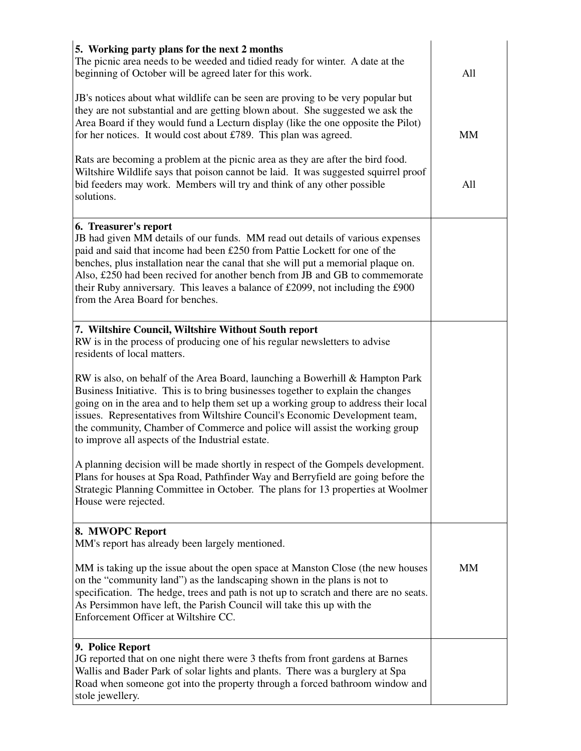| 5. Working party plans for the next 2 months<br>The picnic area needs to be weeded and tidied ready for winter. A date at the<br>beginning of October will be agreed later for this work.                                                                                                                                                                                                                                                                                      | All       |
|--------------------------------------------------------------------------------------------------------------------------------------------------------------------------------------------------------------------------------------------------------------------------------------------------------------------------------------------------------------------------------------------------------------------------------------------------------------------------------|-----------|
| JB's notices about what wildlife can be seen are proving to be very popular but<br>they are not substantial and are getting blown about. She suggested we ask the<br>Area Board if they would fund a Lecturn display (like the one opposite the Pilot)<br>for her notices. It would cost about £789. This plan was agreed.                                                                                                                                                     | MM        |
| Rats are becoming a problem at the picnic area as they are after the bird food.<br>Wiltshire Wildlife says that poison cannot be laid. It was suggested squirrel proof<br>bid feeders may work. Members will try and think of any other possible<br>solutions.                                                                                                                                                                                                                 | All       |
| 6. Treasurer's report<br>JB had given MM details of our funds. MM read out details of various expenses<br>paid and said that income had been £250 from Pattie Lockett for one of the<br>benches, plus installation near the canal that she will put a memorial plaque on.<br>Also, £250 had been recived for another bench from JB and GB to commemorate<br>their Ruby anniversary. This leaves a balance of £2099, not including the £900<br>from the Area Board for benches. |           |
| 7. Wiltshire Council, Wiltshire Without South report<br>RW is in the process of producing one of his regular newsletters to advise<br>residents of local matters.                                                                                                                                                                                                                                                                                                              |           |
| RW is also, on behalf of the Area Board, launching a Bowerhill & Hampton Park<br>Business Initiative. This is to bring businesses together to explain the changes<br>going on in the area and to help them set up a working group to address their local<br>issues. Representatives from Wiltshire Council's Economic Development team,<br>the community, Chamber of Commerce and police will assist the working group<br>to improve all aspects of the Industrial estate.     |           |
| A planning decision will be made shortly in respect of the Gompels development.<br>Plans for houses at Spa Road, Pathfinder Way and Berryfield are going before the<br>Strategic Planning Committee in October. The plans for 13 properties at Woolmer<br>House were rejected.                                                                                                                                                                                                 |           |
| 8. MWOPC Report<br>MM's report has already been largely mentioned.                                                                                                                                                                                                                                                                                                                                                                                                             |           |
| MM is taking up the issue about the open space at Manston Close (the new houses<br>on the "community land") as the landscaping shown in the plans is not to<br>specification. The hedge, trees and path is not up to scratch and there are no seats.<br>As Persimmon have left, the Parish Council will take this up with the<br>Enforcement Officer at Wiltshire CC.                                                                                                          | <b>MM</b> |
| 9. Police Report<br>JG reported that on one night there were 3 thefts from front gardens at Barnes<br>Wallis and Bader Park of solar lights and plants. There was a burglery at Spa<br>Road when someone got into the property through a forced bathroom window and<br>stole jewellery.                                                                                                                                                                                        |           |